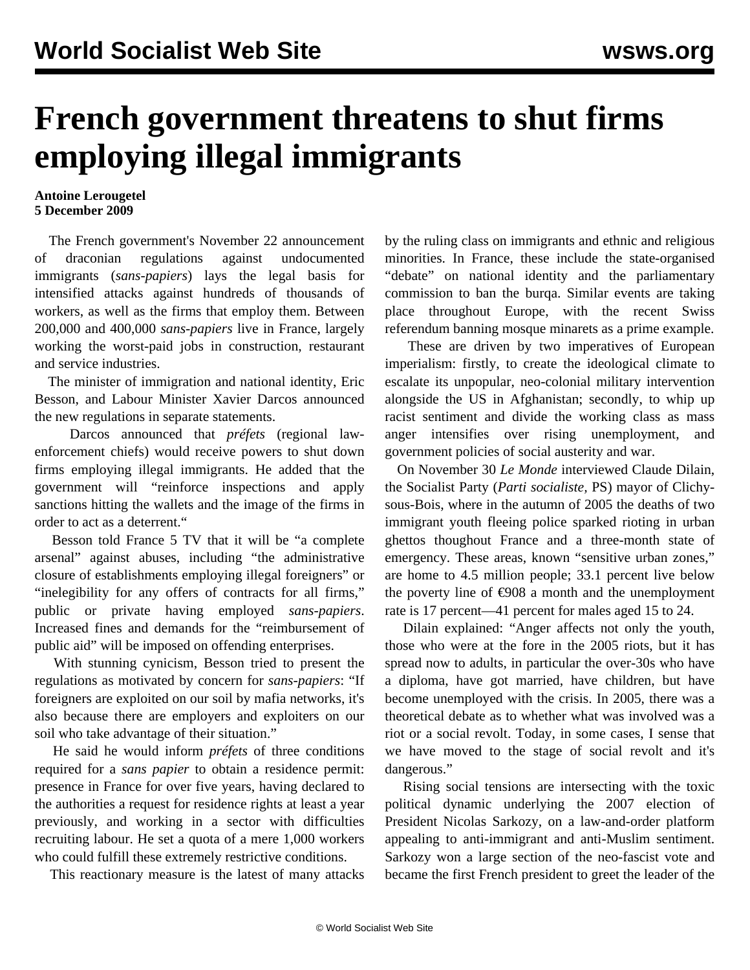## **French government threatens to shut firms employing illegal immigrants**

## **Antoine Lerougetel 5 December 2009**

 The French government's November 22 announcement of draconian regulations against undocumented immigrants (*sans-papiers*) lays the legal basis for intensified attacks against hundreds of thousands of workers, as well as the firms that employ them. Between 200,000 and 400,000 *sans-papiers* live in France, largely working the worst-paid jobs in construction, restaurant and service industries.

 The minister of immigration and national identity, Eric Besson, and Labour Minister Xavier Darcos announced the new regulations in separate statements.

 Darcos announced that *préfets* (regional lawenforcement chiefs) would receive powers to shut down firms employing illegal immigrants. He added that the government will "reinforce inspections and apply sanctions hitting the wallets and the image of the firms in order to act as a deterrent."

 Besson told France 5 TV that it will be "a complete arsenal" against abuses, including "the administrative closure of establishments employing illegal foreigners" or "inelegibility for any offers of contracts for all firms," public or private having employed *sans-papiers*. Increased fines and demands for the "reimbursement of public aid" will be imposed on offending enterprises.

 With stunning cynicism, Besson tried to present the regulations as motivated by concern for *sans-papiers*: "If foreigners are exploited on our soil by mafia networks, it's also because there are employers and exploiters on our soil who take advantage of their situation."

 He said he would inform *préfets* of three conditions required for a *sans papier* to obtain a residence permit: presence in France for over five years, having declared to the authorities a request for residence rights at least a year previously, and working in a sector with difficulties recruiting labour. He set a quota of a mere 1,000 workers who could fulfill these extremely restrictive conditions.

This reactionary measure is the latest of many attacks

by the ruling class on immigrants and ethnic and religious minorities. In France, these include the state-organised "debate" on national identity and the parliamentary commission to ban the burqa. Similar events are taking place throughout Europe, with the recent Swiss referendum banning mosque minarets as a prime example.

 These are driven by two imperatives of European imperialism: firstly, to create the ideological climate to escalate its unpopular, neo-colonial military intervention alongside the US in Afghanistan; secondly, to whip up racist sentiment and divide the working class as mass anger intensifies over rising unemployment, and government policies of social austerity and war.

 On November 30 *Le Monde* interviewed Claude Dilain, the Socialist Party (*Parti socialiste,* PS) mayor of Clichysous-Bois, where in the autumn of 2005 the deaths of two immigrant youth fleeing police sparked rioting in urban ghettos thoughout France and a three-month state of emergency. These areas, known "sensitive urban zones," are home to 4.5 million people; 33.1 percent live below the poverty line of  $\epsilon$ 908 a month and the unemployment rate is 17 percent—41 percent for males aged 15 to 24.

 Dilain explained: "Anger affects not only the youth, those who were at the fore in the 2005 riots, but it has spread now to adults, in particular the over-30s who have a diploma, have got married, have children, but have become unemployed with the crisis. In 2005, there was a theoretical debate as to whether what was involved was a riot or a social revolt. Today, in some cases, I sense that we have moved to the stage of social revolt and it's dangerous."

 Rising social tensions are intersecting with the toxic political dynamic underlying the 2007 election of President Nicolas Sarkozy, on a law-and-order platform appealing to anti-immigrant and anti-Muslim sentiment. Sarkozy won a large section of the neo-fascist vote and became the first French president to greet the leader of the